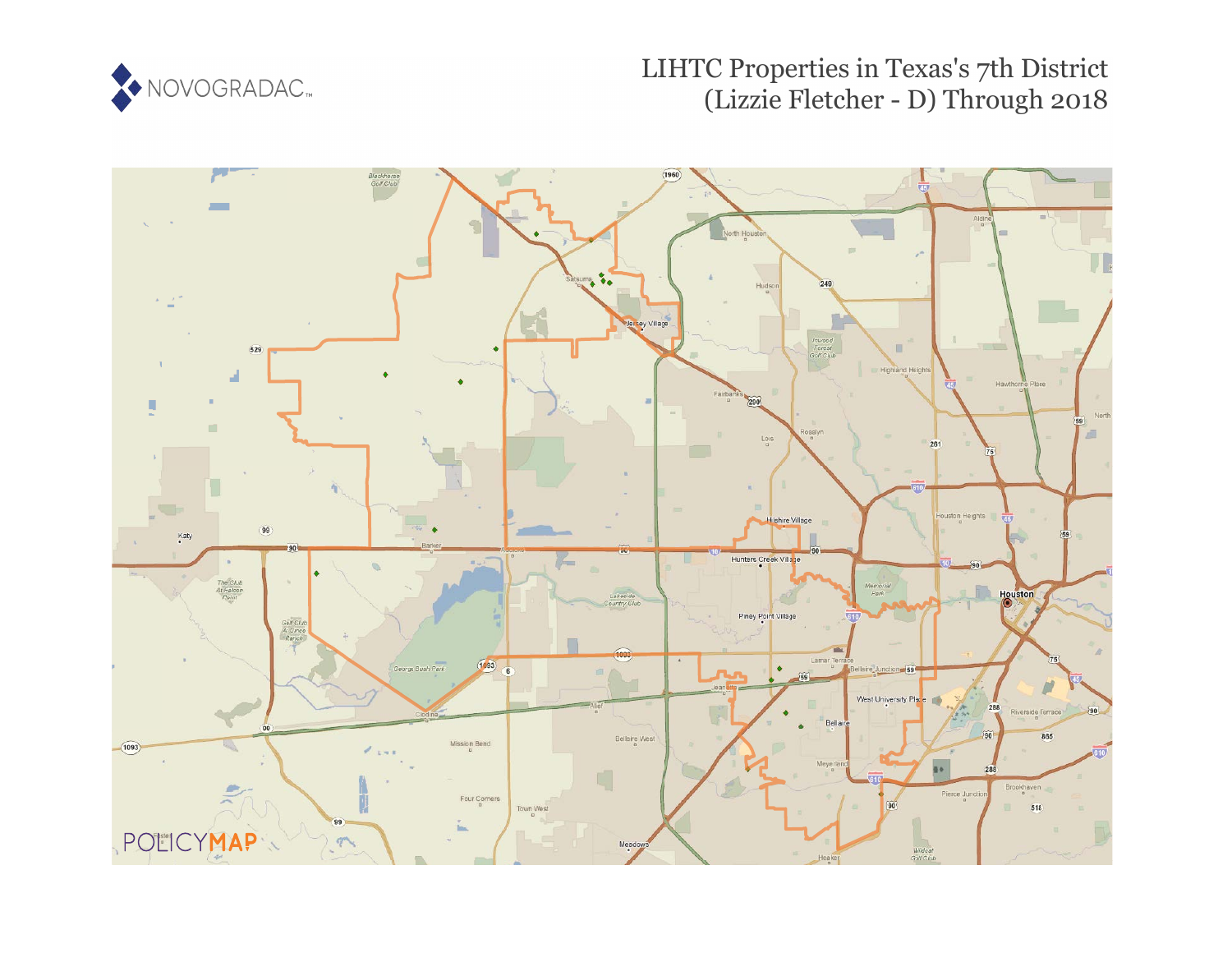

## LIHTC Properties in Texas's 7th District (Lizzie Fletcher - D) Through 2018

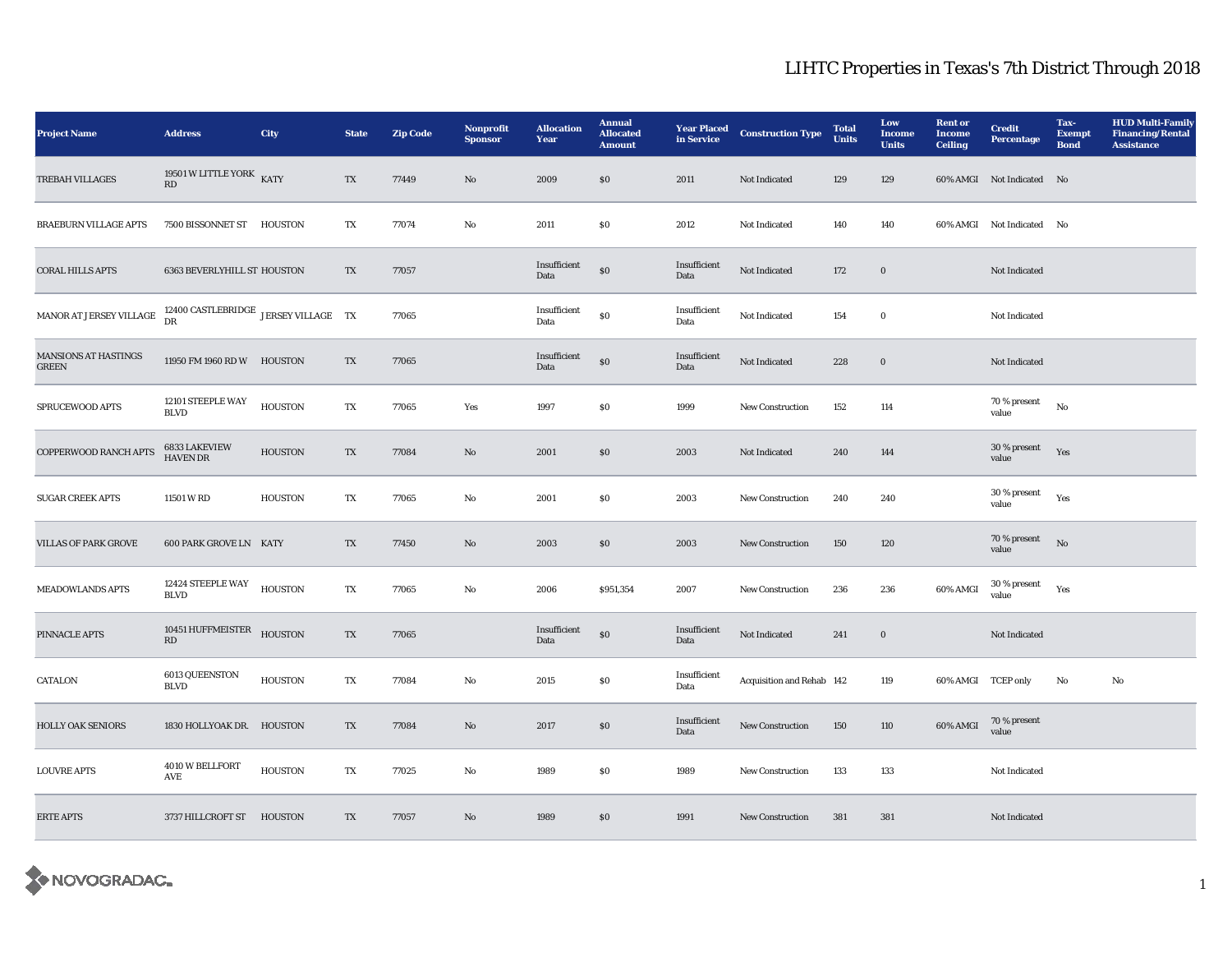## LIHTC Properties in Texas's 7th District Through 2018

| <b>Project Name</b>                         | <b>Address</b>                                         | City           | <b>State</b>           | <b>Zip Code</b> | Nonprofit<br><b>Sponsor</b> | <b>Allocation</b><br>Year | <b>Annual</b><br><b>Allocated</b><br><b>Amount</b> | <b>Year Placed</b><br>in Service | <b>Construction Type</b>  | <b>Total</b><br><b>Units</b> | Low<br><b>Income</b><br><b>Units</b> | <b>Rent or</b><br><b>Income</b><br><b>Ceiling</b> | <b>Credit</b><br><b>Percentage</b> | Tax-<br><b>Exempt</b><br><b>Bond</b> | <b>HUD Multi-Family</b><br><b>Financing/Rental</b><br><b>Assistance</b> |
|---------------------------------------------|--------------------------------------------------------|----------------|------------------------|-----------------|-----------------------------|---------------------------|----------------------------------------------------|----------------------------------|---------------------------|------------------------------|--------------------------------------|---------------------------------------------------|------------------------------------|--------------------------------------|-------------------------------------------------------------------------|
| TREBAH VILLAGES                             | 19501 W LITTLE YORK KATY<br>RD                         |                | TX                     | 77449           | No                          | 2009                      | $\$0$                                              | 2011                             | Not Indicated             | 129                          | 129                                  |                                                   | 60% AMGI Not Indicated No          |                                      |                                                                         |
| <b>BRAEBURN VILLAGE APTS</b>                | 7500 BISSONNET ST                                      | <b>HOUSTON</b> | TX                     | 77074           | No                          | 2011                      | \$0                                                | 2012                             | Not Indicated             | 140                          | 140                                  |                                                   | 60% AMGI Not Indicated No          |                                      |                                                                         |
| <b>CORAL HILLS APTS</b>                     | 6363 BEVERLYHILL ST HOUSTON                            |                | TX                     | 77057           |                             | Insufficient<br>Data      | $\$0$                                              | Insufficient<br>Data             | Not Indicated             | 172                          | $\bf{0}$                             |                                                   | Not Indicated                      |                                      |                                                                         |
| MANOR AT JERSEY VILLAGE                     | 12400 CASTLEBRIDGE $\,$ JERSEY VILLAGE $\,$ TX $\,$ DR |                |                        | 77065           |                             | Insufficient<br>Data      | $\$0$                                              | Insufficient<br>Data             | Not Indicated             | 154                          | $\bf{0}$                             |                                                   | Not Indicated                      |                                      |                                                                         |
| <b>MANSIONS AT HASTINGS</b><br><b>GREEN</b> | 11950 FM 1960 RD W HOUSTON                             |                | TX                     | 77065           |                             | Insufficient<br>Data      | $\$0$                                              | Insufficient<br>Data             | Not Indicated             | 228                          | $\bf{0}$                             |                                                   | Not Indicated                      |                                      |                                                                         |
| SPRUCEWOOD APTS                             | 12101 STEEPLE WAY<br><b>BLVD</b>                       | <b>HOUSTON</b> | TX                     | 77065           | Yes                         | 1997                      | $\$0$                                              | 1999                             | <b>New Construction</b>   | 152                          | 114                                  |                                                   | 70 % present<br>value              | No                                   |                                                                         |
| <b>COPPERWOOD RANCH APTS</b>                | 6833 LAKEVIEW<br><b>HAVEN DR</b>                       | <b>HOUSTON</b> | TX                     | 77084           | $\mathbf{N}\mathbf{o}$      | 2001                      | \$0\$                                              | 2003                             | Not Indicated             | 240                          | 144                                  |                                                   | 30 % present<br>value              | Yes                                  |                                                                         |
| <b>SUGAR CREEK APTS</b>                     | 11501 W RD                                             | <b>HOUSTON</b> | TX                     | 77065           | No                          | 2001                      | \$0\$                                              | 2003                             | <b>New Construction</b>   | 240                          | 240                                  |                                                   | 30 % present<br>value              | Yes                                  |                                                                         |
| <b>VILLAS OF PARK GROVE</b>                 | <b>600 PARK GROVE LN KATY</b>                          |                | TX                     | 77450           | $\rm No$                    | 2003                      | $\$0$                                              | 2003                             | New Construction          | 150                          | 120                                  |                                                   | 70 % present<br>value              | $\rm No$                             |                                                                         |
| <b>MEADOWLANDS APTS</b>                     | 12424 STEEPLE WAY<br><b>BLVD</b>                       | <b>HOUSTON</b> | $\mathbf{T}\mathbf{X}$ | 77065           | No                          | 2006                      | \$951,354                                          | 2007                             | New Construction          | 236                          | 236                                  | 60% AMGI                                          | $30\,\%$ present<br>value          | Yes                                  |                                                                         |
| PINNACLE APTS                               | 10451 HUFFMEISTER<br>RD                                | <b>HOUSTON</b> | TX                     | 77065           |                             | Insufficient<br>Data      | $\$0$                                              | Insufficient<br>Data             | Not Indicated             | 241                          | $\boldsymbol{0}$                     |                                                   | Not Indicated                      |                                      |                                                                         |
| <b>CATALON</b>                              | 6013 QUEENSTON<br><b>BLVD</b>                          | <b>HOUSTON</b> | TX                     | 77084           | $\rm No$                    | 2015                      | $\$0$                                              | Insufficient<br>Data             | Acquisition and Rehab 142 |                              | 119                                  | 60% AMGI TCEP only                                |                                    | No                                   | No                                                                      |
| <b>HOLLY OAK SENIORS</b>                    | 1830 HOLLYOAK DR. HOUSTON                              |                | TX                     | 77084           | No                          | 2017                      | $\$0$                                              | Insufficient<br>Data             | <b>New Construction</b>   | 150                          | 110                                  | 60% AMGI                                          | 70 % present<br>value              |                                      |                                                                         |
| <b>LOUVRE APTS</b>                          | 4010 W BELLFORT<br>AVE                                 | <b>HOUSTON</b> | TX                     | 77025           | No                          | 1989                      | $\$0$                                              | 1989                             | New Construction          | 133                          | 133                                  |                                                   | Not Indicated                      |                                      |                                                                         |
| <b>ERTE APTS</b>                            | 3737 HILLCROFT ST                                      | <b>HOUSTON</b> | TX                     | 77057           | $\mathbf{N}\mathbf{o}$      | 1989                      | $\$0$                                              | 1991                             | <b>New Construction</b>   | 381                          | 381                                  |                                                   | Not Indicated                      |                                      |                                                                         |